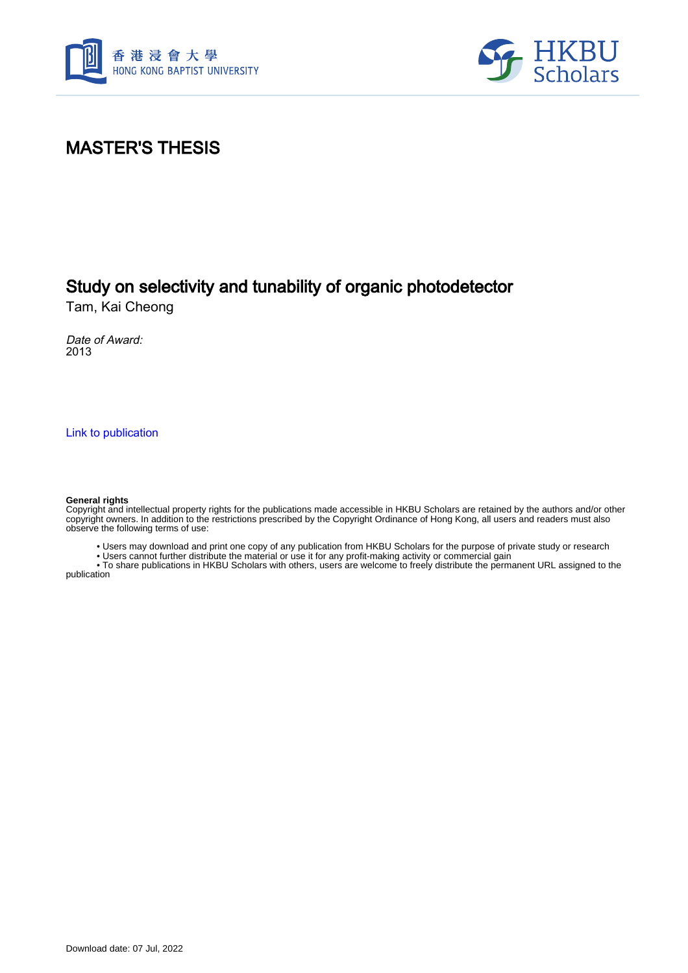



#### MASTER'S THESIS

#### Study on selectivity and tunability of organic photodetector

Tam, Kai Cheong

Date of Award: 2013

[Link to publication](https://scholars.hkbu.edu.hk/en/studentTheses/32137685-18fc-4d8d-af4e-f7ba3f6555fb)

#### **General rights**

Copyright and intellectual property rights for the publications made accessible in HKBU Scholars are retained by the authors and/or other copyright owners. In addition to the restrictions prescribed by the Copyright Ordinance of Hong Kong, all users and readers must also observe the following terms of use:

• Users may download and print one copy of any publication from HKBU Scholars for the purpose of private study or research

• Users cannot further distribute the material or use it for any profit-making activity or commercial gain

 • To share publications in HKBU Scholars with others, users are welcome to freely distribute the permanent URL assigned to the publication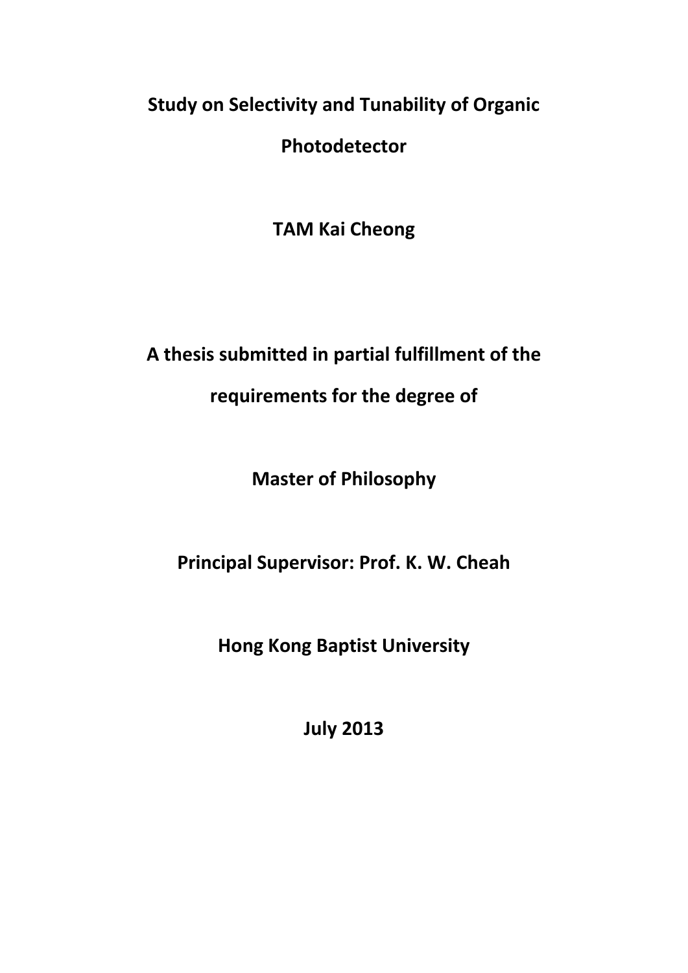# **Study on Selectivity and Tunability of Organic**

**Photodetector**

**TAM Kai Cheong**

# **A thesis submitted in partial fulfillment of the**

#### **requirements for the degree of**

## **Master of Philosophy**

## **Principal Supervisor: Prof. K. W. Cheah**

## **Hong Kong Baptist University**

**July 2013**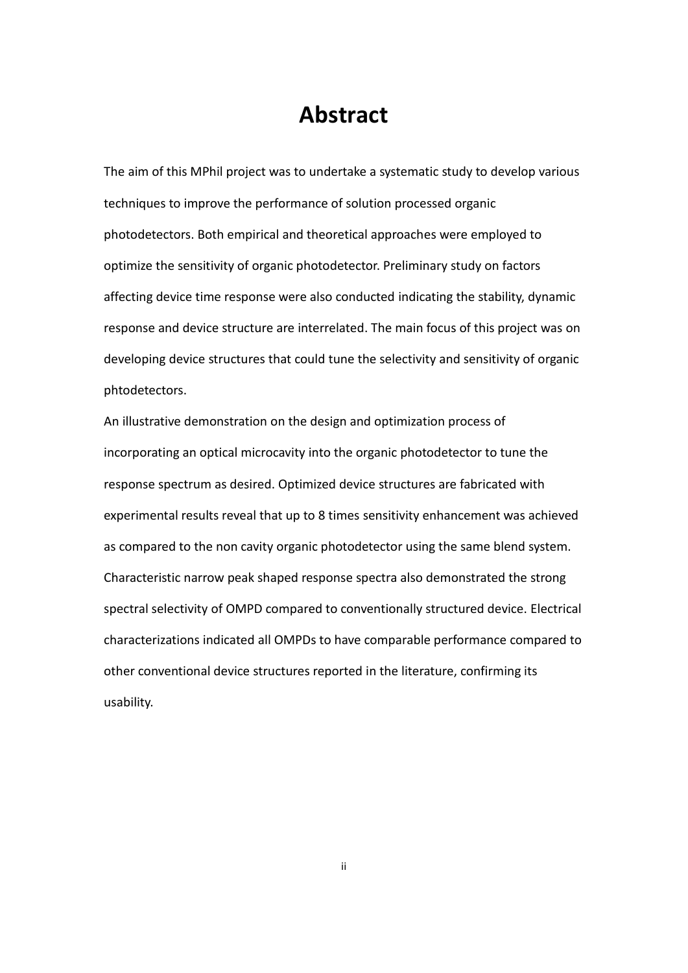#### **Abstract**

<span id="page-2-0"></span>The aim of this MPhil project was to undertake a systematic study to develop various techniques to improve the performance of solution processed organic photodetectors. Both empirical and theoretical approaches were employed to optimize the sensitivity of organic photodetector. Preliminary study on factors affecting device time response were also conducted indicating the stability, dynamic response and device structure are interrelated. The main focus of this project was on developing device structures that could tune the selectivity and sensitivity of organic phtodetectors.

An illustrative demonstration on the design and optimization process of incorporating an optical microcavity into the organic photodetector to tune the response spectrum as desired. Optimized device structures are fabricated with experimental results reveal that up to 8 times sensitivity enhancement was achieved as compared to the non cavity organic photodetector using the same blend system. Characteristic narrow peak shaped response spectra also demonstrated the strong spectral selectivity of OMPD compared to conventionally structured device. Electrical characterizations indicated all OMPDs to have comparable performance compared to other conventional device structures reported in the literature, confirming its usability.

ii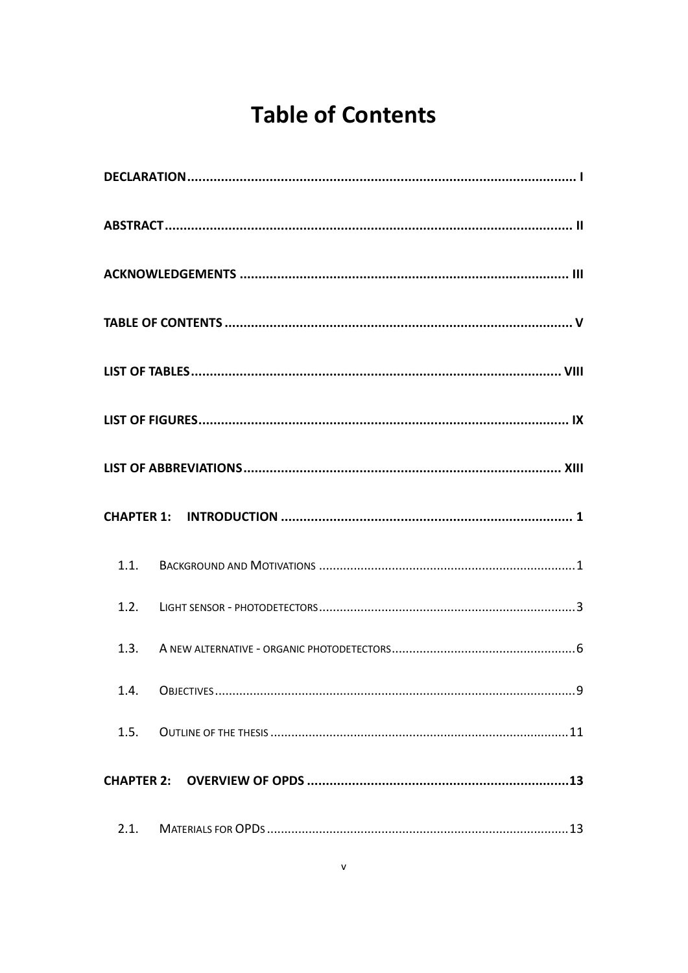# **Table of Contents**

<span id="page-3-0"></span>

| 1.4. |  |
|------|--|
| 1.5. |  |
|      |  |
| 2.1. |  |